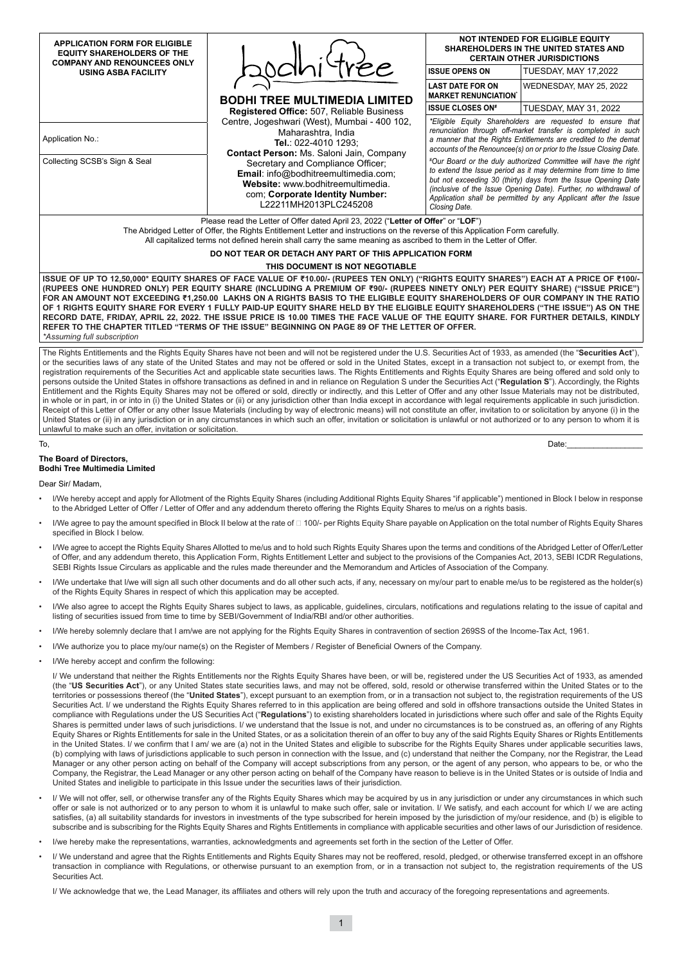| <b>APPLICATION FORM FOR ELIGIBLE</b><br><b>EQUITY SHAREHOLDERS OF THE</b> |                                                                                                                                                                                                                                                                                                                                           | <b>NOT INTENDED FOR ELIGIBLE EQUITY</b><br><b>SHAREHOLDERS IN THE UNITED STATES AND</b><br><b>CERTAIN OTHER JURISDICTIONS</b>                                                                                                                                                                                                                                                                                                                                                                                                                                                                                                          |                              |  |  |  |  |
|---------------------------------------------------------------------------|-------------------------------------------------------------------------------------------------------------------------------------------------------------------------------------------------------------------------------------------------------------------------------------------------------------------------------------------|----------------------------------------------------------------------------------------------------------------------------------------------------------------------------------------------------------------------------------------------------------------------------------------------------------------------------------------------------------------------------------------------------------------------------------------------------------------------------------------------------------------------------------------------------------------------------------------------------------------------------------------|------------------------------|--|--|--|--|
| <b>COMPANY AND RENOUNCEES ONLY</b><br><b>USING ASBA FACILITY</b>          |                                                                                                                                                                                                                                                                                                                                           | <b>ISSUE OPENS ON</b>                                                                                                                                                                                                                                                                                                                                                                                                                                                                                                                                                                                                                  | <b>TUESDAY, MAY 17,2022</b>  |  |  |  |  |
|                                                                           | <b>BODHI TREE MULTIMEDIA LIMITED</b>                                                                                                                                                                                                                                                                                                      | <b>LAST DATE FOR ON</b><br><b>MARKET RENUNCIATION</b>                                                                                                                                                                                                                                                                                                                                                                                                                                                                                                                                                                                  | WEDNESDAY, MAY 25, 2022      |  |  |  |  |
|                                                                           | <b>Registered Office: 507, Reliable Business</b>                                                                                                                                                                                                                                                                                          | <b>ISSUE CLOSES ON#</b>                                                                                                                                                                                                                                                                                                                                                                                                                                                                                                                                                                                                                | <b>TUESDAY, MAY 31, 2022</b> |  |  |  |  |
| Application No.:<br>Collecting SCSB's Sign & Seal                         | Centre, Jogeshwari (West), Mumbai - 400 102,<br>Maharashtra, India<br>Tel.: 022-4010 1293:<br><b>Contact Person: Ms. Saloni Jain, Company</b><br>Secretary and Compliance Officer;                                                                                                                                                        | *Eligible Equity Shareholders are requested to ensure that<br>renunciation through off-market transfer is completed in such<br>a manner that the Rights Entitlements are credited to the demat<br>accounts of the Renouncee(s) on or prior to the Issue Closing Date.<br>#Our Board or the duly authorized Committee will have the right<br>to extend the Issue period as it may determine from time to time<br>but not exceeding 30 (thirty) days from the Issue Opening Date<br>(inclusive of the Issue Opening Date). Further, no withdrawal of<br>Application shall be permitted by any Applicant after the Issue<br>Closing Date. |                              |  |  |  |  |
|                                                                           | <b>Email:</b> info@bodhitreemultimedia.com;<br>Website: www.bodhitreemultimedia.<br>com; Corporate Identity Number:<br>L22211MH2013PLC245208                                                                                                                                                                                              |                                                                                                                                                                                                                                                                                                                                                                                                                                                                                                                                                                                                                                        |                              |  |  |  |  |
|                                                                           | Please read the Letter of Offer dated April 23, 2022 ("Letter of Offer" or "LOF")<br>The Abridged Letter of Offer, the Rights Entitlement Letter and instructions on the reverse of this Application Form carefully.<br>All capitalized terms not defined herein shall carry the same meaning as ascribed to them in the Letter of Offer. |                                                                                                                                                                                                                                                                                                                                                                                                                                                                                                                                                                                                                                        |                              |  |  |  |  |
|                                                                           | DO NOT TEAR OR DETACH ANY PART OF THIS APPLICATION FORM                                                                                                                                                                                                                                                                                   |                                                                                                                                                                                                                                                                                                                                                                                                                                                                                                                                                                                                                                        |                              |  |  |  |  |

# **THIS DOCUMENT IS NOT NEGOTIABLE**

**ISSUE OF UP TO 12,50,000\* EQUITY SHARES OF FACE VALUE OF ₹10.00/- (RUPEES TEN ONLY) ("RIGHTS EQUITY SHARES") EACH AT A PRICE OF ₹100/- (RUPEES ONE HUNDRED ONLY) PER EQUITY SHARE (INCLUDING A PREMIUM OF ₹90/- (RUPEES NINETY ONLY) PER EQUITY SHARE) ("ISSUE PRICE") FOR AN AMOUNT NOT EXCEEDING ₹1,250.00 LAKHS ON A RIGHTS BASIS TO THE ELIGIBLE EQUITY SHAREHOLDERS OF OUR COMPANY IN THE RATIO OF 1 RIGHTS EQUITY SHARE FOR EVERY 1 FULLY PAID-UP EQUITY SHARE HELD BY THE ELIGIBLE EQUITY SHAREHOLDERS ("THE ISSUE") AS ON THE RECORD DATE, FRIDAY, APRIL 22, 2022. THE ISSUE PRICE IS 10.00 TIMES THE FACE VALUE OF THE EQUITY SHARE. FOR FURTHER DETAILS, KINDLY REFER TO THE CHAPTER TITLED "TERMS OF THE ISSUE" BEGINNING ON PAGE 89 OF THE LETTER OF OFFER.** *\*Assuming full subscription*

The Rights Entitlements and the Rights Equity Shares have not been and will not be registered under the U.S. Securities Act of 1933, as amended (the "**Securities Act**"), or the securities laws of any state of the United States and may not be offered or sold in the United States, except in a transaction not subject to, or exempt from, the registration requirements of the Securities Act and applicable state securities laws. The Rights Entitlements and Rights Equity Shares are being offered and sold only to persons outside the United States in offshore transactions as defined in and in reliance on Regulation S under the Securities Act ("**Regulation S**"). Accordingly, the Rights Entitlement and the Rights Equity Shares may not be offered or sold, directly or indirectly, and this Letter of Offer and any other Issue Materials may not be distributed, in whole or in part, in or into in (i) the United States or (ii) or any jurisdiction other than India except in accordance with legal requirements applicable in such jurisdiction. Receipt of this Letter of Offer or any other Issue Materials (including by way of electronic means) will not constitute an offer, invitation to or solicitation by anyone (i) in the United States or (ii) in any jurisdiction or in any circumstances in which such an offer, invitation or solicitation is unlawful or not authorized or to any person to whom it is unlawful to make such an offer, invitation or solicitation.

#### To, Date:\_\_\_\_\_\_\_\_\_\_\_\_\_\_\_\_\_

#### **The Board of Directors, Bodhi Tree Multimedia Limited**

Dear Sir/ Madam,

- I/We hereby accept and apply for Allotment of the Rights Equity Shares (including Additional Rights Equity Shares "if applicable") mentioned in Block I below in response to the Abridged Letter of Offer / Letter of Offer and any addendum thereto offering the Rights Equity Shares to me/us on a rights basis.
- I/We agree to pay the amount specified in Block II below at the rate of □ 100/- per Rights Equity Share payable on Application on the total number of Rights Equity Shares specified in Block I below.
- I/We agree to accept the Rights Equity Shares Allotted to me/us and to hold such Rights Equity Shares upon the terms and conditions of the Abridged Letter of Offer/Letter of Offer, and any addendum thereto, this Application Form, Rights Entitlement Letter and subject to the provisions of the Companies Act, 2013, SEBI ICDR Regulations, SEBI Rights Issue Circulars as applicable and the rules made thereunder and the Memorandum and Articles of Association of the Company.
- I/We undertake that I/we will sign all such other documents and do all other such acts, if any, necessary on my/our part to enable me/us to be registered as the holder(s) of the Rights Equity Shares in respect of which this application may be accepted.
- I/We also agree to accept the Rights Equity Shares subject to laws, as applicable, guidelines, circulars, notifications and regulations relating to the issue of capital and listing of securities issued from time to time by SEBI/Government of India/RBI and/or other authorities.
- I/We hereby solemnly declare that I am/we are not applying for the Rights Equity Shares in contravention of section 269SS of the Income-Tax Act, 1961.
- I/We authorize you to place my/our name(s) on the Register of Members / Register of Beneficial Owners of the Company.
- I/We hereby accept and confirm the following:

I/ We understand that neither the Rights Entitlements nor the Rights Equity Shares have been, or will be, registered under the US Securities Act of 1933, as amended (the "**US Securities Act**"), or any United States state securities laws, and may not be offered, sold, resold or otherwise transferred within the United States or to the territories or possessions thereof (the "**United States**"), except pursuant to an exemption from, or in a transaction not subject to, the registration requirements of the US Securities Act. I/ we understand the Rights Equity Shares referred to in this application are being offered and sold in offshore transactions outside the United States in compliance with Regulations under the US Securities Act ("**Regulations**") to existing shareholders located in jurisdictions where such offer and sale of the Rights Equity Shares is permitted under laws of such jurisdictions. I/ we understand that the Issue is not, and under no circumstances is to be construed as, an offering of any Rights Equity Shares or Rights Entitlements for sale in the United States, or as a solicitation therein of an offer to buy any of the said Rights Equity Shares or Rights Entitlements in the United States. I/ we confirm that I am/ we are (a) not in the United States and eligible to subscribe for the Rights Equity Shares under applicable securities laws, (b) complying with laws of jurisdictions applicable to such person in connection with the Issue, and (c) understand that neither the Company, nor the Registrar, the Lead Manager or any other person acting on behalf of the Company will accept subscriptions from any person, or the agent of any person, who appears to be, or who the Company, the Registrar, the Lead Manager or any other person acting on behalf of the Company have reason to believe is in the United States or is outside of India and United States and ineligible to participate in this Issue under the securities laws of their jurisdiction.

- I/ We will not offer, sell, or otherwise transfer any of the Rights Equity Shares which may be acquired by us in any jurisdiction or under any circumstances in which such offer or sale is not authorized or to any person to whom it is unlawful to make such offer, sale or invitation. I/ We satisfy, and each account for which I/ we are acting satisfies, (a) all suitability standards for investors in investments of the type subscribed for herein imposed by the jurisdiction of my/our residence, and (b) is eligible to subscribe and is subscribing for the Rights Equity Shares and Rights Entitlements in compliance with applicable securities and other laws of our Jurisdiction of residence.
- I/we hereby make the representations, warranties, acknowledgments and agreements set forth in the section of the Letter of Offer
- I/ We understand and agree that the Rights Entitlements and Rights Equity Shares may not be reoffered, resold, pledged, or otherwise transferred except in an offshore transaction in compliance with Regulations, or otherwise pursuant to an exemption from, or in a transaction not subject to, the registration requirements of the US Securities Act.

I/ We acknowledge that we, the Lead Manager, its affiliates and others will rely upon the truth and accuracy of the foregoing representations and agreements.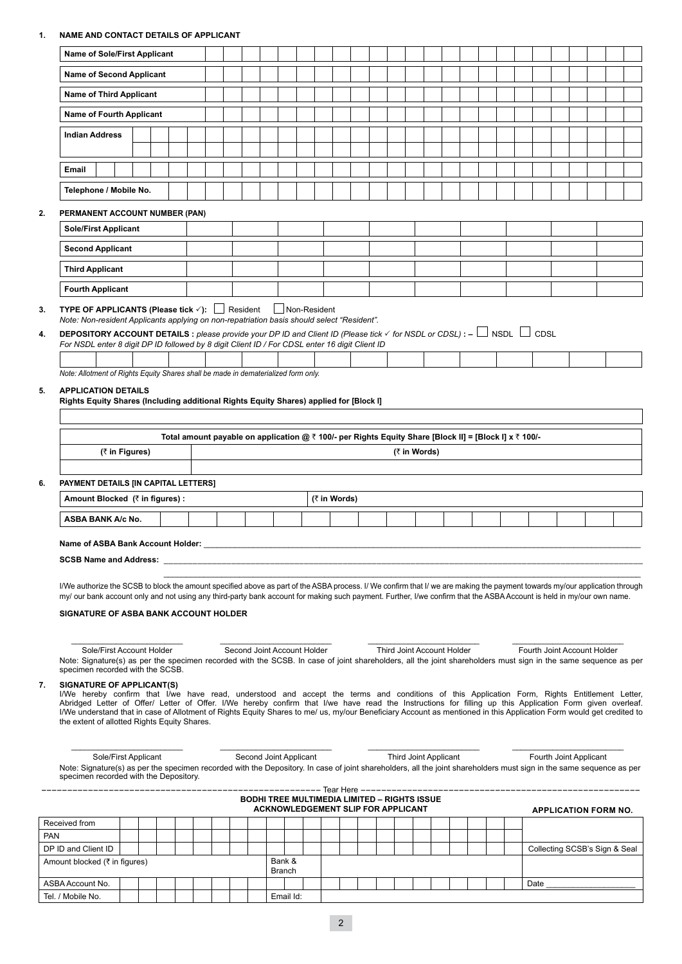# **1. NAME AND CONTACT DETAILS OF APPLICANT**

|                                                                                                                                                                                                                                                                                                                                                                                                                                                                                                                                                                                                                                                                                                                                                                           |  | Name of Sole/First Applicant |                                                                                                        |  |  |  |  |                             |  |  |              |                                                     |  |  |                            |  |  |  |                               |  |  |  |  |
|---------------------------------------------------------------------------------------------------------------------------------------------------------------------------------------------------------------------------------------------------------------------------------------------------------------------------------------------------------------------------------------------------------------------------------------------------------------------------------------------------------------------------------------------------------------------------------------------------------------------------------------------------------------------------------------------------------------------------------------------------------------------------|--|------------------------------|--------------------------------------------------------------------------------------------------------|--|--|--|--|-----------------------------|--|--|--------------|-----------------------------------------------------|--|--|----------------------------|--|--|--|-------------------------------|--|--|--|--|
| <b>Name of Second Applicant</b>                                                                                                                                                                                                                                                                                                                                                                                                                                                                                                                                                                                                                                                                                                                                           |  |                              |                                                                                                        |  |  |  |  |                             |  |  |              |                                                     |  |  |                            |  |  |  |                               |  |  |  |  |
| <b>Name of Third Applicant</b>                                                                                                                                                                                                                                                                                                                                                                                                                                                                                                                                                                                                                                                                                                                                            |  |                              |                                                                                                        |  |  |  |  |                             |  |  |              |                                                     |  |  |                            |  |  |  |                               |  |  |  |  |
|                                                                                                                                                                                                                                                                                                                                                                                                                                                                                                                                                                                                                                                                                                                                                                           |  |                              |                                                                                                        |  |  |  |  |                             |  |  |              |                                                     |  |  |                            |  |  |  |                               |  |  |  |  |
| <b>Name of Fourth Applicant</b>                                                                                                                                                                                                                                                                                                                                                                                                                                                                                                                                                                                                                                                                                                                                           |  |                              |                                                                                                        |  |  |  |  |                             |  |  |              |                                                     |  |  |                            |  |  |  |                               |  |  |  |  |
| <b>Indian Address</b>                                                                                                                                                                                                                                                                                                                                                                                                                                                                                                                                                                                                                                                                                                                                                     |  |                              |                                                                                                        |  |  |  |  |                             |  |  |              |                                                     |  |  |                            |  |  |  |                               |  |  |  |  |
| Email                                                                                                                                                                                                                                                                                                                                                                                                                                                                                                                                                                                                                                                                                                                                                                     |  |                              |                                                                                                        |  |  |  |  |                             |  |  |              |                                                     |  |  |                            |  |  |  |                               |  |  |  |  |
| Telephone / Mobile No.                                                                                                                                                                                                                                                                                                                                                                                                                                                                                                                                                                                                                                                                                                                                                    |  |                              |                                                                                                        |  |  |  |  |                             |  |  |              |                                                     |  |  |                            |  |  |  |                               |  |  |  |  |
| PERMANENT ACCOUNT NUMBER (PAN)                                                                                                                                                                                                                                                                                                                                                                                                                                                                                                                                                                                                                                                                                                                                            |  |                              |                                                                                                        |  |  |  |  |                             |  |  |              |                                                     |  |  |                            |  |  |  |                               |  |  |  |  |
| <b>Sole/First Applicant</b>                                                                                                                                                                                                                                                                                                                                                                                                                                                                                                                                                                                                                                                                                                                                               |  |                              |                                                                                                        |  |  |  |  |                             |  |  |              |                                                     |  |  |                            |  |  |  |                               |  |  |  |  |
| <b>Second Applicant</b>                                                                                                                                                                                                                                                                                                                                                                                                                                                                                                                                                                                                                                                                                                                                                   |  |                              |                                                                                                        |  |  |  |  |                             |  |  |              |                                                     |  |  |                            |  |  |  |                               |  |  |  |  |
| <b>Third Applicant</b>                                                                                                                                                                                                                                                                                                                                                                                                                                                                                                                                                                                                                                                                                                                                                    |  |                              |                                                                                                        |  |  |  |  |                             |  |  |              |                                                     |  |  |                            |  |  |  |                               |  |  |  |  |
| <b>Fourth Applicant</b>                                                                                                                                                                                                                                                                                                                                                                                                                                                                                                                                                                                                                                                                                                                                                   |  |                              |                                                                                                        |  |  |  |  |                             |  |  |              |                                                     |  |  |                            |  |  |  |                               |  |  |  |  |
| Note: Non-resident Applicants applying on non-repatriation basis should select "Resident".<br><b>DEPOSITORY ACCOUNT DETAILS</b> : please provide your DP ID and Client ID (Please tick $\checkmark$ for NSDL or CDSL): $-\Box$ NSDL $\Box$ CDSL<br>For NSDL enter 8 digit DP ID followed by 8 digit Client ID / For CDSL enter 16 digit Client ID<br>Note: Allotment of Rights Equity Shares shall be made in dematerialized form only.                                                                                                                                                                                                                                                                                                                                   |  |                              |                                                                                                        |  |  |  |  |                             |  |  |              |                                                     |  |  |                            |  |  |  |                               |  |  |  |  |
| <b>APPLICATION DETAILS</b><br>Rights Equity Shares (Including additional Rights Equity Shares) applied for [Block I]<br>(₹ in Figures)                                                                                                                                                                                                                                                                                                                                                                                                                                                                                                                                                                                                                                    |  |                              | Total amount payable on application @ ₹ 100/- per Rights Equity Share [Block II] = [Block I] x ₹ 100/- |  |  |  |  |                             |  |  |              |                                                     |  |  | (₹ in Words)               |  |  |  |                               |  |  |  |  |
|                                                                                                                                                                                                                                                                                                                                                                                                                                                                                                                                                                                                                                                                                                                                                                           |  |                              |                                                                                                        |  |  |  |  |                             |  |  |              |                                                     |  |  |                            |  |  |  |                               |  |  |  |  |
| PAYMENT DETAILS [IN CAPITAL LETTERS]                                                                                                                                                                                                                                                                                                                                                                                                                                                                                                                                                                                                                                                                                                                                      |  |                              |                                                                                                        |  |  |  |  |                             |  |  |              |                                                     |  |  |                            |  |  |  |                               |  |  |  |  |
| Amount Blocked (₹ in figures) :                                                                                                                                                                                                                                                                                                                                                                                                                                                                                                                                                                                                                                                                                                                                           |  |                              |                                                                                                        |  |  |  |  |                             |  |  | (₹ in Words) |                                                     |  |  |                            |  |  |  |                               |  |  |  |  |
| ASBA BANK A/c No.                                                                                                                                                                                                                                                                                                                                                                                                                                                                                                                                                                                                                                                                                                                                                         |  |                              |                                                                                                        |  |  |  |  |                             |  |  |              |                                                     |  |  |                            |  |  |  |                               |  |  |  |  |
| Name of ASBA Bank Account Holder:                                                                                                                                                                                                                                                                                                                                                                                                                                                                                                                                                                                                                                                                                                                                         |  |                              |                                                                                                        |  |  |  |  |                             |  |  |              |                                                     |  |  |                            |  |  |  |                               |  |  |  |  |
| <b>SCSB Name and Address:</b>                                                                                                                                                                                                                                                                                                                                                                                                                                                                                                                                                                                                                                                                                                                                             |  |                              |                                                                                                        |  |  |  |  |                             |  |  |              |                                                     |  |  |                            |  |  |  |                               |  |  |  |  |
| I/We authorize the SCSB to block the amount specified above as part of the ASBA process. I/ We confirm that I/ we are making the payment towards my/our application through<br>my/ our bank account only and not using any third-party bank account for making such payment. Further, I/we confirm that the ASBA Account is held in my/our own name.<br><b>SIGNATURE OF ASBA BANK ACCOUNT HOLDER</b><br>Sole/First Account Holder                                                                                                                                                                                                                                                                                                                                         |  |                              |                                                                                                        |  |  |  |  | Second Joint Account Holder |  |  |              |                                                     |  |  | Third Joint Account Holder |  |  |  | Fourth Joint Account Holder   |  |  |  |  |
| Note: Signature(s) as per the specimen recorded with the SCSB. In case of joint shareholders, all the joint shareholders must sign in the same sequence as per<br>specimen recorded with the SCSB.<br><b>SIGNATURE OF APPLICANT(S)</b><br>I/We hereby confirm that I/we have read, understood and accept the terms and conditions of this Application Form, Rights Entitlement Letter,<br>Abridged Letter of Offer/ Letter of Offer. I/We hereby confirm that I/we have read the Instructions for filling up this Application Form given overleaf.<br>I/We understand that in case of Allotment of Rights Equity Shares to me/ us, my/our Beneficiary Account as mentioned in this Application Form would get credited to<br>the extent of allotted Rights Equity Shares. |  |                              |                                                                                                        |  |  |  |  |                             |  |  |              |                                                     |  |  |                            |  |  |  |                               |  |  |  |  |
| Sole/First Applicant<br>Note: Signature(s) as per the specimen recorded with the Depository. In case of joint shareholders, all the joint shareholders must sign in the same sequence as per<br>specimen recorded with the Depository.                                                                                                                                                                                                                                                                                                                                                                                                                                                                                                                                    |  |                              |                                                                                                        |  |  |  |  | Second Joint Applicant      |  |  |              | <b>BODHI TREE MULTIMEDIA LIMITED - RIGHTS ISSUE</b> |  |  | Third Joint Applicant      |  |  |  | Fourth Joint Applicant        |  |  |  |  |
|                                                                                                                                                                                                                                                                                                                                                                                                                                                                                                                                                                                                                                                                                                                                                                           |  |                              |                                                                                                        |  |  |  |  |                             |  |  |              | ACKNOWLEDGEMENT SLIP FOR APPLICANT                  |  |  |                            |  |  |  | <b>APPLICATION FORM NO.</b>   |  |  |  |  |
| Received from                                                                                                                                                                                                                                                                                                                                                                                                                                                                                                                                                                                                                                                                                                                                                             |  |                              |                                                                                                        |  |  |  |  |                             |  |  |              |                                                     |  |  |                            |  |  |  |                               |  |  |  |  |
| DP ID and Client ID<br>Amount blocked (₹ in figures)                                                                                                                                                                                                                                                                                                                                                                                                                                                                                                                                                                                                                                                                                                                      |  |                              |                                                                                                        |  |  |  |  | Bank &                      |  |  |              |                                                     |  |  |                            |  |  |  | Collecting SCSB's Sign & Seal |  |  |  |  |
| ASBA Account No.                                                                                                                                                                                                                                                                                                                                                                                                                                                                                                                                                                                                                                                                                                                                                          |  |                              |                                                                                                        |  |  |  |  | <b>Branch</b>               |  |  |              |                                                     |  |  |                            |  |  |  |                               |  |  |  |  |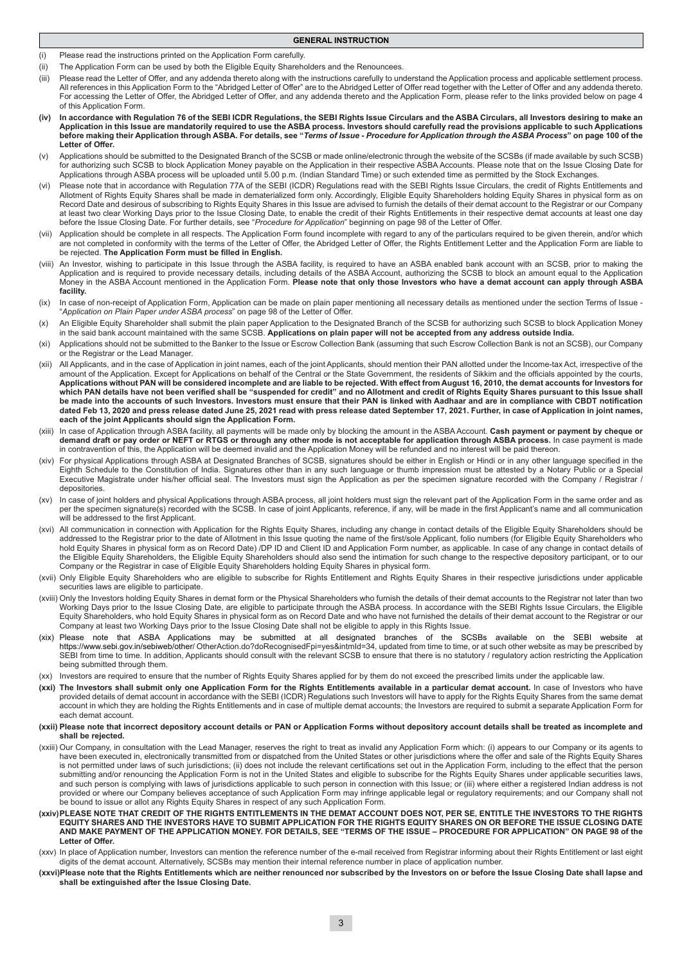### **GENERAL INSTRUCTION**

- (i) Please read the instructions printed on the Application Form carefully.
- (ii) The Application Form can be used by both the Eligible Equity Shareholders and the Renouncees.
- (iii) Please read the Letter of Offer, and any addenda thereto along with the instructions carefully to understand the Application process and applicable settlement process. All references in this Application Form to the "Abridged Letter of Offer" are to the Abridged Letter of Offer read together with the Letter of Offer and any addenda thereto. For accessing the Letter of Offer, the Abridged Letter of Offer, and any addenda thereto and the Application Form, please refer to the links provided below on page 4 of this Application Form.
- **(iv) In accordance with Regulation 76 of the SEBI ICDR Regulations, the SEBI Rights Issue Circulars and the ASBA Circulars, all Investors desiring to make an Application in this Issue are mandatorily required to use the ASBA process. Investors should carefully read the provisions applicable to such Applications before making their Application through ASBA. For details, see "***Terms of Issue - Procedure for Application through the ASBA Process***" on page 100 of the Letter of Offer.**
- (v) Applications should be submitted to the Designated Branch of the SCSB or made online/electronic through the website of the SCSBs (if made available by such SCSB) for authorizing such SCSB to block Application Money payable on the Application in their respective ASBA Accounts. Please note that on the Issue Closing Date for Applications through ASBA process will be uploaded until 5.00 p.m. (Indian Standard Time) or such extended time as permitted by the Stock Exchanges.
- (vi) Please note that in accordance with Regulation 77A of the SEBI (ICDR) Regulations read with the SEBI Rights Issue Circulars, the credit of Rights Entitlements and Allotment of Rights Equity Shares shall be made in dematerialized form only. Accordingly, Eligible Equity Shareholders holding Equity Shares in physical form as on Record Date and desirous of subscribing to Rights Equity Shares in this Issue are advised to furnish the details of their demat account to the Registrar or our Company at least two clear Working Days prior to the Issue Closing Date, to enable the credit of their Rights Entitlements in their respective demat accounts at least one day before the Issue Closing Date. For further details, see "*Procedure for Application*" beginning on page 98 of the Letter of Offer.
- (vii) Application should be complete in all respects. The Application Form found incomplete with regard to any of the particulars required to be given therein, and/or which are not completed in conformity with the terms of the Letter of Offer, the Abridged Letter of Offer, the Rights Entitlement Letter and the Application Form are liable to be rejected. **The Application Form must be filled in English.**
- (viii) An Investor, wishing to participate in this Issue through the ASBA facility, is required to have an ASBA enabled bank account with an SCSB, prior to making the Application and is required to provide necessary details, including details of the ASBA Account, authorizing the SCSB to block an amount equal to the Application Money in the ASBA Account mentioned in the Application Form. **Please note that only those Investors who have a demat account can apply through ASBA facility.**
- (ix) In case of non-receipt of Application Form, Application can be made on plain paper mentioning all necessary details as mentioned under the section Terms of Issue -"*Application on Plain Paper under ASBA process*" on page 98 of the Letter of Offer.
- (x) An Eligible Equity Shareholder shall submit the plain paper Application to the Designated Branch of the SCSB for authorizing such SCSB to block Application Money in the said bank account maintained with the same SCSB. **Applications on plain paper will not be accepted from any address outside India.**
- (xi) Applications should not be submitted to the Banker to the Issue or Escrow Collection Bank (assuming that such Escrow Collection Bank is not an SCSB), our Company or the Registrar or the Lead Manager.
- (xii) All Applicants, and in the case of Application in joint names, each of the joint Applicants, should mention their PAN allotted under the Income-tax Act, irrespective of the amount of the Application. Except for Applications on behalf of the Central or the State Government, the residents of Sikkim and the officials appointed by the courts, **Applications without PAN will be considered incomplete and are liable to be rejected. With effect from August 16, 2010, the demat accounts for Investors for**  which PAN details have not been verified shall be "suspended for credit" and no Allotment and credit of Rights Equity Shares pursuant to this Issue shall **be made into the accounts of such Investors. Investors must ensure that their PAN is linked with Aadhaar and are in compliance with CBDT notification dated Feb 13, 2020 and press release dated June 25, 2021 read with press release dated September 17, 2021. Further, in case of Application in joint names, each of the joint Applicants should sign the Application Form.**
- (xiii) In case of Application through ASBA facility, all payments will be made only by blocking the amount in the ASBA Account. **Cash payment or payment by cheque or demand draft or pay order or NEFT or RTGS or through any other mode is not acceptable for application through ASBA process.** In case payment is made in contravention of this, the Application will be deemed invalid and the Application Money will be refunded and no interest will be paid thereon.
- (xiv) For physical Applications through ASBA at Designated Branches of SCSB, signatures should be either in English or Hindi or in any other language specified in the Eighth Schedule to the Constitution of India. Signatures other than in any such language or thumb impression must be attested by a Notary Public or a Special Executive Magistrate under his/her official seal. The Investors must sign the Application as per the specimen signature recorded with the Company / Registrar / depositories.
- (xv) In case of joint holders and physical Applications through ASBA process, all joint holders must sign the relevant part of the Application Form in the same order and as per the specimen signature(s) recorded with the SCSB. In case of joint Applicants, reference, if any, will be made in the first Applicant's name and all communication will be addressed to the first Applicant.
- (xvi) All communication in connection with Application for the Rights Equity Shares, including any change in contact details of the Eligible Equity Shareholders should be addressed to the Registrar prior to the date of Allotment in this Issue quoting the name of the first/sole Applicant, folio numbers (for Eligible Equity Shareholders who hold Equity Shares in physical form as on Record Date) /DP ID and Client ID and Application Form number, as applicable. In case of any change in contact details of the Eligible Equity Shareholders, the Eligible Equity Shareholders should also send the intimation for such change to the respective depository participant, or to our Company or the Registrar in case of Eligible Equity Shareholders holding Equity Shares in physical form.
- (xvii) Only Eligible Equity Shareholders who are eligible to subscribe for Rights Entitlement and Rights Equity Shares in their respective jurisdictions under applicable securities laws are eligible to participate.
- (xviii) Only the Investors holding Equity Shares in demat form or the Physical Shareholders who furnish the details of their demat accounts to the Registrar not later than two Working Days prior to the Issue Closing Date, are eligible to participate through the ASBA process. In accordance with the SEBI Rights Issue Circulars, the Eligible Equity Shareholders, who hold Equity Shares in physical form as on Record Date and who have not furnished the details of their demat account to the Registrar or our Company at least two Working Days prior to the Issue Closing Date shall not be eligible to apply in this Rights Issue.
- (xix) Please note that ASBA Applications may be submitted at all designated branches of the SCSBs available on the SEBI website at https://www.sebi.gov.in/sebiweb/other/ OtherAction.do?doRecognisedFpi=yes&intmId=34, updated from time to time, or at such other website as may be prescribed by SEBI from time to time. In addition, Applicants should consult with the relevant SCSB to ensure that there is no statutory / regulatory action restricting the Application being submitted through them.
- (xx) Investors are required to ensure that the number of Rights Equity Shares applied for by them do not exceed the prescribed limits under the applicable law.
- **(xxi) The Investors shall submit only one Application Form for the Rights Entitlements available in a particular demat account.** In case of Investors who have provided details of demat account in accordance with the SEBI (ICDR) Regulations such Investors will have to apply for the Rights Equity Shares from the same demat account in which they are holding the Rights Entitlements and in case of multiple demat accounts; the Investors are required to submit a separate Application Form for each demat account.
- **(xxii) Please note that incorrect depository account details or PAN or Application Forms without depository account details shall be treated as incomplete and shall be rejected.**
- (xxiii) Our Company, in consultation with the Lead Manager, reserves the right to treat as invalid any Application Form which: (i) appears to our Company or its agents to have been executed in, electronically transmitted from or dispatched from the United States or other jurisdictions where the offer and sale of the Rights Equity Shares is not permitted under laws of such jurisdictions; (ii) does not include the relevant certifications set out in the Application Form, including to the effect that the person submitting and/or renouncing the Application Form is not in the United States and eligible to subscribe for the Rights Equity Shares under applicable securities laws, and such person is complying with laws of jurisdictions applicable to such person in connection with this Issue; or (iii) where either a registered Indian address is not provided or where our Company believes acceptance of such Application Form may infringe applicable legal or regulatory requirements; and our Company shall not be bound to issue or allot any Rights Equity Shares in respect of any such Application Form.
- **(xxiv)PLEASE NOTE THAT CREDIT OF THE RIGHTS ENTITLEMENTS IN THE DEMAT ACCOUNT DOES NOT, PER SE, ENTITLE THE INVESTORS TO THE RIGHTS EQUITY SHARES AND THE INVESTORS HAVE TO SUBMIT APPLICATION FOR THE RIGHTS EQUITY SHARES ON OR BEFORE THE ISSUE CLOSING DATE AND MAKE PAYMENT OF THE APPLICATION MONEY. FOR DETAILS, SEE "TERMS OF THE ISSUE – PROCEDURE FOR APPLICATION" ON PAGE 98 of the Letter of Offer.**
- (xxv) In place of Application number, Investors can mention the reference number of the e-mail received from Registrar informing about their Rights Entitlement or last eight digits of the demat account. Alternatively, SCSBs may mention their internal reference number in place of application number.
- **(xxvi)Please note that the Rights Entitlements which are neither renounced nor subscribed by the Investors on or before the Issue Closing Date shall lapse and shall be extinguished after the Issue Closing Date.**